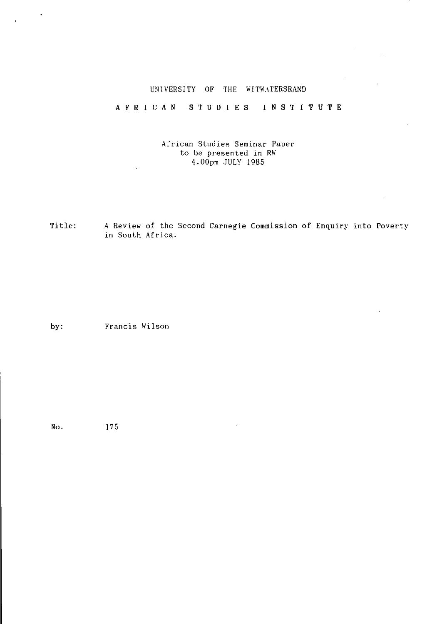# UNIVERSITY OF THE WITWATERSRAND

## AFRICAN STUDIES INSTITUTE

### African Studies Seminar Paper to be presented in RW 4.00pm JULY 1985

Title: A Review of the Second Carnegie Commission of Enquiry into Poverty in South Africa.

by: Francis Wilson

No. 175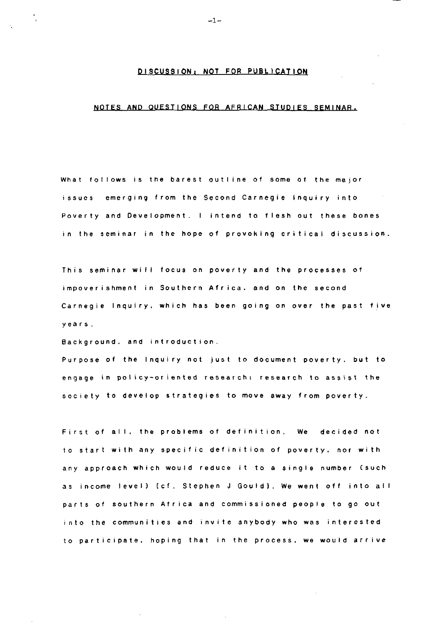### **DISCUSSION: NOT FOR PUBLICATION**

#### **NOTE S AN D QUESTION S FO R AFRICA N STUDIE S SEMINA R**

**Wha t follow s I s th e bares t outlin e o f som e o f th e majo <sup>r</sup> issue s emergin g fro m th e Secon d Carnegi e Inquir y int o Povert y an d Development . I inten d t o fles h ou t thes e bone <sup>s</sup> <sup>i</sup> n th e semina r i n th e hop e o f provokin g critica l discussion .**

**Thi s semina r wil l focu s o n povert y an d th e processe s o f impoverishment in Southern Africa, and on the second Carnegi e Inquiry , whic h ha s bee n goin g o n ove r th e pas t fiv e year s .**

Background, and introduction.

**Purpos e o f th e Inquir y no t jus t t o documen t poverty , bu t t o engag e i n policy-oriente d research : researc h t o assis t th <sup>e</sup> societ y t o develo p strategie s t o mov e awa y fro m poverty .**

**Firs t o f all , th e problem s o f definition . W e decide d no <sup>t</sup> t o star t wit h an y specifi c definitio n o f poverty , no r wit h a n y approac h whic h woul d reduc e i t t o a singl e numbe r (suc <sup>h</sup> <sup>a</sup> s incom e level ) [ c f . Stephe n J Gould] . W e wen t of f int o ai <sup>l</sup> part s o f souther n Afric a an d commissione d peopl e t o g o ou <sup>t</sup> int o th e communitie s an d invit e anybod y wh o wa s intereste d <sup>t</sup> o participate , hopin g tha t i n th e process , w e w o uI d arriv <sup>e</sup>**

**-1-**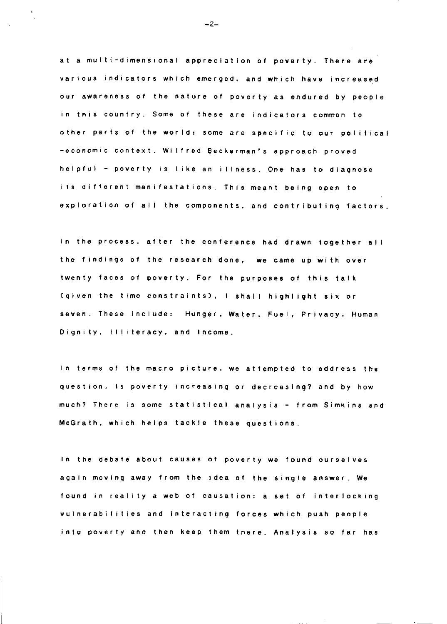**a t a mufti-dimensiona l appreciatio n o f poverty . Ther e ar e variou s indicator s whic h emerged , an d whic h hav e increase d o u r awarenes s o f th e natur e o f povert y a s endure d b y peopl <sup>e</sup> i n thi s country . Som e o f thes e ar e indicator s commo n t o othe r part s o f th e world ; som e ar e specifi c t o ou r poiitic a -economi c context . Wilfre d Beckerman' s approac h prove <sup>d</sup> helpfu l - povert y i s lik e a n illness . On e ha s t o diagnos e i t s differen t manifestations . Thi s mean t bein g ope n t <sup>o</sup>**  $e$  *xploration* of all the components, and contributing factors.

**I n th e process , afte r th e conferenc e ha d draw n togethe r al l t h e finding s o f th e researc h done , w e cam e u p wit h ove <sup>r</sup> twent y face s o f poverty . Fo r th e purpose s o f thi s tal k Cgive n th e tim e constraints) , I shal l highligh t si x o r seven . Thes e include : Hunger , Water , Fuel , Privacy . Huma n Dignity , Illiteracy , an d Income .**

**I n term s o f th e macr o picture , w e attempte d t o addres s th e question . I s povert y increasin g o r decreasing ? an d b y ho w much ? Ther e i s som e statistica l analysi s - fro m Simkin s an d McGrath , whic h help s tackl e thes e questions .**

**I n th e debat e abou t cause s o f povert y w e foun d ourselve s agai n movin g awa y fro m th e ide a o f th e singl e answer . W e foun d i n realit y a we b o f causation : a se t o f interlockin g vulnerabilitie s an d interactin g force s whic h pus h peopl e int o povert y an d the n kee p the m there . Analysi s s o fa r ha s**

**- 2-**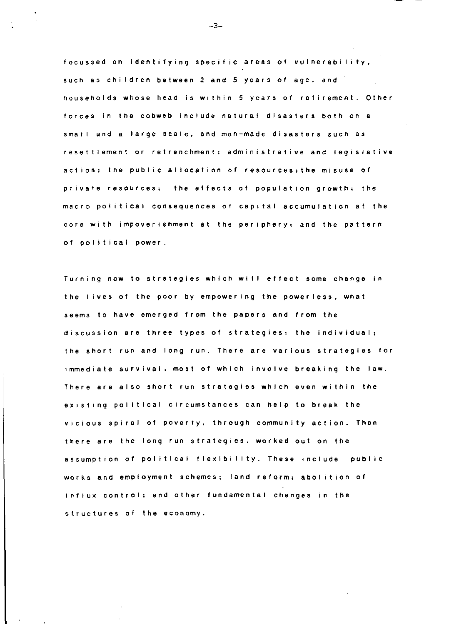**focusse d o n identifyin g specifi c area s o f vulnerability , suc h a s childre n betwee n 2 an d 5 year s o f age . an d household s whos e hea d i s withi n 5 year s o f retirement . Othe r force s i n th e cobwe b includ e natura l disaster s bot h o n a smal l an d a larg e scale , an d man-mad e disaster s suc h a s resettlemen t o r retrenchment : administrativ e an d legislativ e action ; th e publi c allocatio n o f resources ; th e misus e o f privat e resources ; th e effect s o f populatio n growth : th e macr o politica l consequence s o f capita l accumulatio n a t th e cor e wit h impoverishmen t a t th e periphery ; an d th e patter n o f politica l pow e r .**

**Turnin g no w t o strategie s whic h wil l effec t som e chang e i n t h e live s o f th e poo r b y empowerin g th e powerless , wha <sup>t</sup> seem s t o hav e emerge d fro m th e paper s an d fro m th e discussio n ar e thre e type s o f strategies ; th e individual ; t h e shor t ru n an d lon g run . Ther e ar e variou s strategie s fo <sup>r</sup> immediat e survival , mos t o f whic h involv e breakin g th e law . Ther e ar e als o shor t ru n strategie s whic h eve n withi n th e existin g politica l circumstance s ca n het p t o brea k th e viciou s spira l o f poverty , throug h communit y action . The n ther e ar e th e lon g ru n strategies , worke d ou t o n th e assumptio n o f politica l flexibility . Thes e includ e publi c work s an d employmen t s chernes ; lan d reform ; abolitio n o f influ x control ; an d othe r fundamenta l change s i n th e structure s o f th e economy .**

**-3-**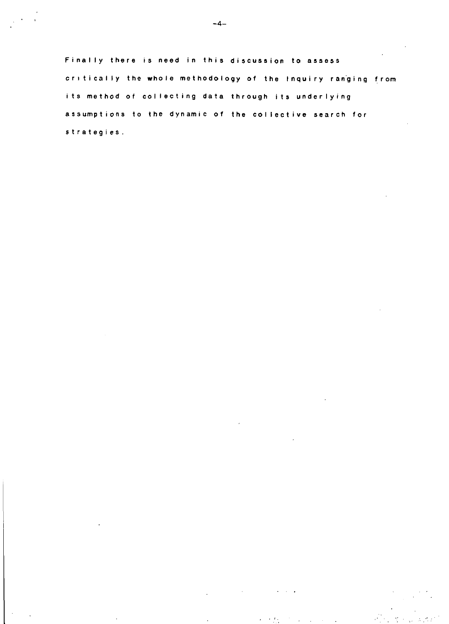Finally there is need in this discussion to assess critically the whole methodology of the Inquiry ranging from its method of collecting data through its underlying assumptions to the dynamic of the collective search for strategies.